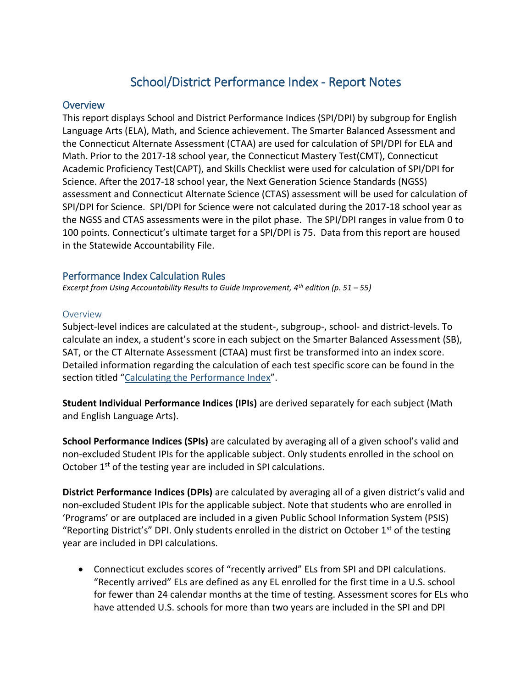# School/District Performance Index - Report Notes

## **Overview**

This report displays School and District Performance Indices (SPI/DPI) by subgroup for English Language Arts (ELA), Math, and Science achievement. The Smarter Balanced Assessment and the Connecticut Alternate Assessment (CTAA) are used for calculation of SPI/DPI for ELA and Math. Prior to the 2017-18 school year, the Connecticut Mastery Test(CMT), Connecticut Academic Proficiency Test(CAPT), and Skills Checklist were used for calculation of SPI/DPI for Science. After the 2017-18 school year, the Next Generation Science Standards (NGSS) assessment and Connecticut Alternate Science (CTAS) assessment will be used for calculation of SPI/DPI for Science. SPI/DPI for Science were not calculated during the 2017-18 school year as the NGSS and CTAS assessments were in the pilot phase. The SPI/DPI ranges in value from 0 to 100 points. Connecticut's ultimate target for a SPI/DPI is 75. Data from this report are housed in the Statewide Accountability File.

## Performance Index Calculation Rules

*Excerpt from Using Accountability Results to Guide Improvement, 4th edition (p. 51 – 55)*

## Overview

Subject-level indices are calculated at the student-, subgroup-, school- and district-levels. To calculate an index, a student's score in each subject on the Smarter Balanced Assessment (SB), SAT, or the CT Alternate Assessment (CTAA) must first be transformed into an index score. Detailed information regarding the calculation of each test specific score can be found in the section titled "[Calculating the Performance Index](#page-6-0)".

**Student Individual Performance Indices (IPIs)** are derived separately for each subject (Math and English Language Arts).

**School Performance Indices (SPIs)** are calculated by averaging all of a given school's valid and non-excluded Student IPIs for the applicable subject. Only students enrolled in the school on October 1<sup>st</sup> of the testing year are included in SPI calculations.

**District Performance Indices (DPIs)** are calculated by averaging all of a given district's valid and non-excluded Student IPIs for the applicable subject. Note that students who are enrolled in 'Programs' or are outplaced are included in a given Public School Information System (PSIS) "Reporting District's" DPI. Only students enrolled in the district on October  $1<sup>st</sup>$  of the testing year are included in DPI calculations.

 Connecticut excludes scores of "recently arrived" ELs from SPI and DPI calculations. "Recently arrived" ELs are defined as any EL enrolled for the first time in a U.S. school for fewer than 24 calendar months at the time of testing. Assessment scores for ELs who have attended U.S. schools for more than two years are included in the SPI and DPI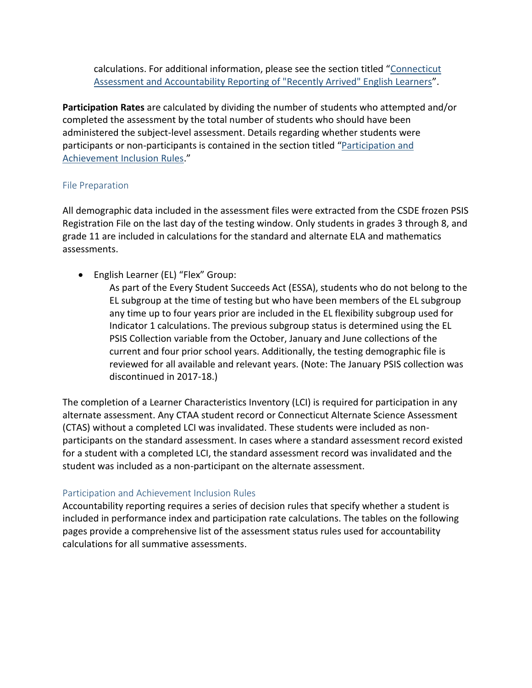calculations. For additional information, please see the section titled "Connecticut Assessment and Accountability Reporting of "Recently Arrived" English Learners".

**Participation Rates** are calculated by dividing the number of students who attempted and/or completed the assessment by the total number of students who should have been administered the subject-level assessment. Details regarding whether students were participants or non-participants is contained in the section titled "[Participation and](#page-1-0)  [Achievement Inclusion Rules.](#page-1-0)"

## File Preparation

All demographic data included in the assessment files were extracted from the CSDE frozen PSIS Registration File on the last day of the testing window. Only students in grades 3 through 8, and grade 11 are included in calculations for the standard and alternate ELA and mathematics assessments.

• English Learner (EL) "Flex" Group:

As part of the Every Student Succeeds Act (ESSA), students who do not belong to the EL subgroup at the time of testing but who have been members of the EL subgroup any time up to four years prior are included in the EL flexibility subgroup used for Indicator 1 calculations. The previous subgroup status is determined using the EL PSIS Collection variable from the October, January and June collections of the current and four prior school years. Additionally, the testing demographic file is reviewed for all available and relevant years. (Note: The January PSIS collection was discontinued in 2017-18.)

The completion of a Learner Characteristics Inventory (LCI) is required for participation in any alternate assessment. Any CTAA student record or Connecticut Alternate Science Assessment (CTAS) without a completed LCI was invalidated. These students were included as nonparticipants on the standard assessment. In cases where a standard assessment record existed for a student with a completed LCI, the standard assessment record was invalidated and the student was included as a non-participant on the alternate assessment.

## <span id="page-1-0"></span>Participation and Achievement Inclusion Rules

Accountability reporting requires a series of decision rules that specify whether a student is included in performance index and participation rate calculations. The tables on the following pages provide a comprehensive list of the assessment status rules used for accountability calculations for all summative assessments.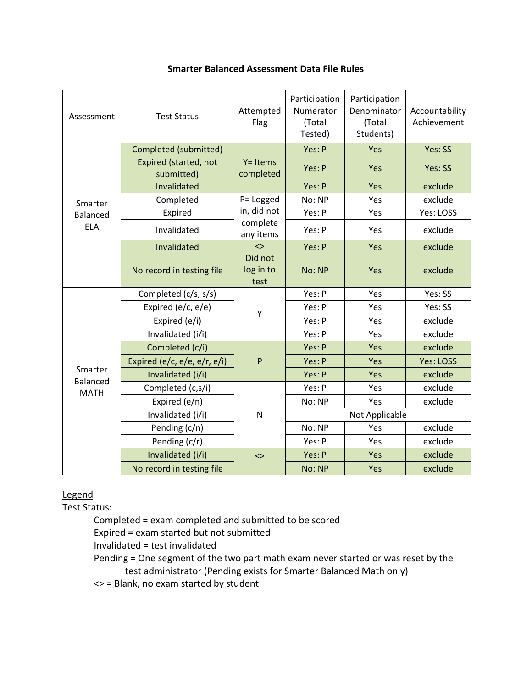| Assessment          | <b>Test Status</b>                         | Attempted<br>Flag            | Participation<br>Numerator<br>(Total<br>Tested) | Participation<br>Denominator<br>(Total<br>Students) | Accountability<br>Achievement |
|---------------------|--------------------------------------------|------------------------------|-------------------------------------------------|-----------------------------------------------------|-------------------------------|
|                     | Completed (submitted)                      |                              | Yes: P                                          | Yes                                                 | Yes: SS                       |
|                     | <b>Expired (started, not</b><br>submitted) | $Y = Items$<br>completed     | Yes: P                                          | Yes                                                 | Yes: SS                       |
|                     | Invalidated                                |                              | Yes: P                                          | Yes                                                 | exclude                       |
| Smarter             | Completed                                  | P= Logged                    | No: NP                                          | Yes                                                 | exclude                       |
| Balanced            | Expired                                    | in, did not                  | Yes: P                                          | Yes                                                 | Yes: LOSS                     |
| <b>ELA</b>          | Invalidated                                | complete<br>any items        | Yes: P                                          | Yes                                                 | exclude                       |
|                     | Invalidated                                | $\leftrightarrow$            | Yes: P                                          | Yes                                                 | exclude                       |
|                     | No record in testing file                  | Did not<br>log in to<br>test | No: NP                                          | Yes                                                 | exclude                       |
|                     | Completed (c/s, s/s)                       |                              | Yes: P                                          | Yes                                                 | Yes: SS                       |
|                     | Expired (e/c, e/e)                         | Υ                            | Yes: P                                          | Yes                                                 | Yes: SS                       |
|                     | Expired (e/i)                              |                              | Yes: P                                          | Yes                                                 | exclude                       |
|                     | Invalidated (i/i)                          |                              | Yes: P                                          | Yes                                                 | exclude                       |
|                     | Completed (c/i)                            |                              | Yes: P                                          | Yes                                                 | exclude                       |
|                     | Expired (e/c, e/e, e/r, e/i)               | $\mathsf{P}$                 | Yes: P                                          | Yes                                                 | <b>Yes: LOSS</b>              |
| Smarter<br>Balanced | Invalidated (i/i)                          |                              | Yes: P                                          | Yes                                                 | exclude                       |
| <b>MATH</b>         | Completed (c,s/i)                          |                              | Yes: P                                          | Yes                                                 | exclude                       |
|                     | Expired (e/n)                              |                              | No: NP                                          | Yes                                                 | exclude                       |
|                     | Invalidated (i/i)                          | ${\sf N}$                    | Not Applicable                                  |                                                     |                               |
|                     | Pending (c/n)                              |                              | No: NP                                          | Yes                                                 | exclude                       |
|                     | Pending (c/r)                              |                              | Yes: P                                          | Yes                                                 | exclude                       |
|                     | Invalidated (i/i)                          | $\left\langle \right\rangle$ | Yes: P                                          | Yes                                                 | exclude                       |
|                     | No record in testing file                  |                              | No: NP                                          | Yes                                                 | exclude                       |

## **Smarter Balanced Assessment Data File Rules**

# Legend

Test Status:

Completed = exam completed and submitted to be scored

Expired = exam started but not submitted

Invalidated = test invalidated

Pending = One segment of the two part math exam never started or was reset by the test administrator (Pending exists for Smarter Balanced Math only)

<> = Blank, no exam started by student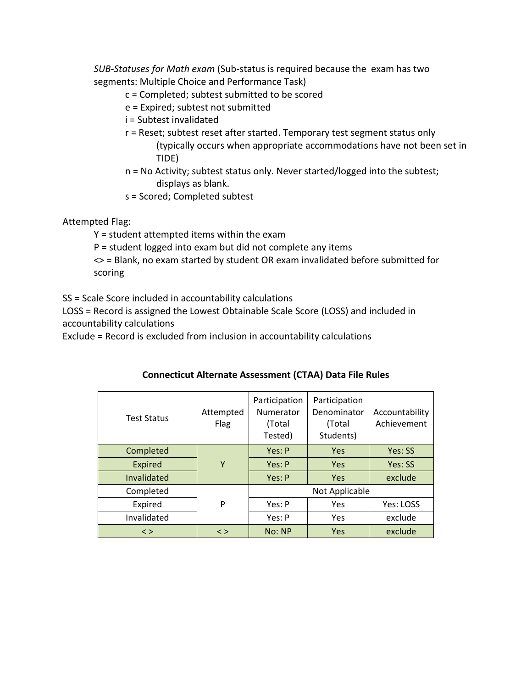*SUB-Statuses for Math exam* (Sub-status is required because the exam has two segments: Multiple Choice and Performance Task)

- c = Completed; subtest submitted to be scored
- e = Expired; subtest not submitted
- i = Subtest invalidated
- r = Reset; subtest reset after started. Temporary test segment status only (typically occurs when appropriate accommodations have not been set in TIDE)
- n = No Activity; subtest status only. Never started/logged into the subtest; displays as blank.
- s = Scored; Completed subtest

## Attempted Flag:

Y = student attempted items within the exam

P = student logged into exam but did not complete any items

<> = Blank, no exam started by student OR exam invalidated before submitted for scoring

SS = Scale Score included in accountability calculations

LOSS = Record is assigned the Lowest Obtainable Scale Score (LOSS) and included in accountability calculations

Exclude = Record is excluded from inclusion in accountability calculations

| <b>Test Status</b> | Attempted<br>Flag | Participation<br>Numerator<br>(Total<br>Tested) | Participation<br>Denominator<br>(Total<br>Students) | Accountability<br>Achievement |  |
|--------------------|-------------------|-------------------------------------------------|-----------------------------------------------------|-------------------------------|--|
| Completed          |                   | Yes: P                                          | Yes                                                 | Yes: SS                       |  |
| <b>Expired</b>     | Υ                 | Yes: P                                          | <b>Yes</b>                                          | Yes: SS                       |  |
| Invalidated        |                   | Yes: P                                          | Yes                                                 | exclude                       |  |
| Completed          |                   |                                                 | Not Applicable                                      |                               |  |
| Expired            | P                 | Yes: P                                          | Yes                                                 | Yes: LOSS                     |  |
| Invalidated        |                   | Yes: P                                          | Yes                                                 | exclude                       |  |
| $\leq$             | $\leq$            | No: NP                                          | Yes                                                 | exclude                       |  |

## **Connecticut Alternate Assessment (CTAA) Data File Rules**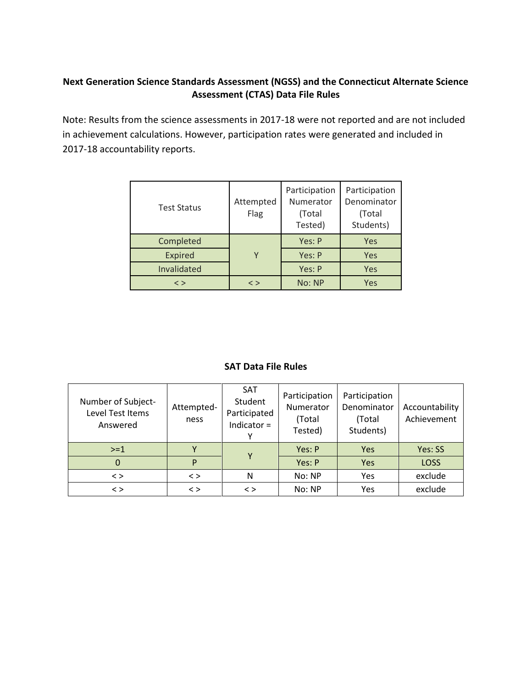## **Next Generation Science Standards Assessment (NGSS) and the Connecticut Alternate Science Assessment (CTAS) Data File Rules**

Note: Results from the science assessments in 2017-18 were not reported and are not included in achievement calculations. However, participation rates were generated and included in 2017-18 accountability reports.

| <b>Test Status</b> | Attempted<br>Flag | Participation<br>Numerator<br>(Total<br>Tested) | Participation<br>Denominator<br>(Total<br>Students) |  |
|--------------------|-------------------|-------------------------------------------------|-----------------------------------------------------|--|
| Completed          |                   | Yes: P                                          | Yes                                                 |  |
| <b>Expired</b>     | Υ                 | Yes: P                                          | <b>Yes</b>                                          |  |
| Invalidated        |                   | Yes: P                                          | Yes                                                 |  |
| $\langle$ $>$      | $\langle$ $>$     | No: NP                                          | Yes                                                 |  |

#### **SAT Data File Rules**

| Number of Subject-<br>Level Test Items<br>Answered | Attempted-<br>ness | <b>SAT</b><br>Student<br>Participated<br>Indicator $=$ | Participation<br>Numerator<br>(Total<br>Tested) | Participation<br>Denominator<br>(Total<br>Students) | Accountability<br>Achievement |
|----------------------------------------------------|--------------------|--------------------------------------------------------|-------------------------------------------------|-----------------------------------------------------|-------------------------------|
| $>=1$                                              |                    | Υ                                                      | Yes: P                                          | Yes                                                 | Yes: SS                       |
| 0                                                  | P                  |                                                        | Yes: P                                          | Yes                                                 | <b>LOSS</b>                   |
| $\langle$ >                                        | $\langle$ $>$      | N                                                      | No: NP                                          | Yes                                                 | exclude                       |
| $\langle$ >                                        | $\langle$ $>$      | $\langle$ >                                            | No: NP                                          | Yes                                                 | exclude                       |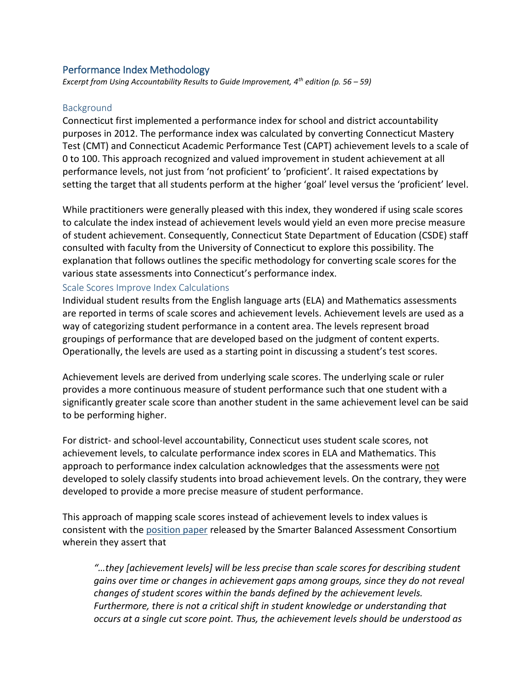## Performance Index Methodology

*Excerpt from Using Accountability Results to Guide Improvement, 4th edition (p. 56 – 59)*

#### **Background**

Connecticut first implemented a performance index for school and district accountability purposes in 2012. The performance index was calculated by converting Connecticut Mastery Test (CMT) and Connecticut Academic Performance Test (CAPT) achievement levels to a scale of 0 to 100. This approach recognized and valued improvement in student achievement at all performance levels, not just from 'not proficient' to 'proficient'. It raised expectations by setting the target that all students perform at the higher 'goal' level versus the 'proficient' level.

While practitioners were generally pleased with this index, they wondered if using scale scores to calculate the index instead of achievement levels would yield an even more precise measure of student achievement. Consequently, Connecticut State Department of Education (CSDE) staff consulted with faculty from the University of Connecticut to explore this possibility. The explanation that follows outlines the specific methodology for converting scale scores for the various state assessments into Connecticut's performance index.

#### Scale Scores Improve Index Calculations

Individual student results from the English language arts (ELA) and Mathematics assessments are reported in terms of scale scores and achievement levels. Achievement levels are used as a way of categorizing student performance in a content area. The levels represent broad groupings of performance that are developed based on the judgment of content experts. Operationally, the levels are used as a starting point in discussing a student's test scores.

Achievement levels are derived from underlying scale scores. The underlying scale or ruler provides a more continuous measure of student performance such that one student with a significantly greater scale score than another student in the same achievement level can be said to be performing higher.

For district- and school-level accountability, Connecticut uses student scale scores, not achievement levels, to calculate performance index scores in ELA and Mathematics. This approach to performance index calculation acknowledges that the assessments were not developed to solely classify students into broad achievement levels. On the contrary, they were developed to provide a more precise measure of student performance.

This approach of mapping scale scores instead of achievement levels to index values is consistent with the [position paper](https://portal.smarterbalanced.org/library/en/interpretation-and-use-of-scores-and-achievement-levels.pdf) released by the Smarter Balanced Assessment Consortium wherein they assert that

*"…they [achievement levels] will be less precise than scale scores for describing student gains over time or changes in achievement gaps among groups, since they do not reveal changes of student scores within the bands defined by the achievement levels. Furthermore, there is not a critical shift in student knowledge or understanding that occurs at a single cut score point. Thus, the achievement levels should be understood as*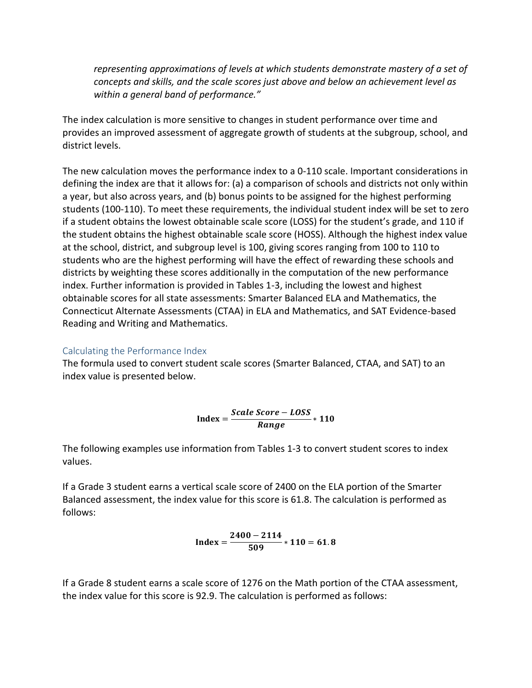*representing approximations of levels at which students demonstrate mastery of a set of concepts and skills, and the scale scores just above and below an achievement level as within a general band of performance."*

The index calculation is more sensitive to changes in student performance over time and provides an improved assessment of aggregate growth of students at the subgroup, school, and district levels.

The new calculation moves the performance index to a 0-110 scale. Important considerations in defining the index are that it allows for: (a) a comparison of schools and districts not only within a year, but also across years, and (b) bonus points to be assigned for the highest performing students (100-110). To meet these requirements, the individual student index will be set to zero if a student obtains the lowest obtainable scale score (LOSS) for the student's grade, and 110 if the student obtains the highest obtainable scale score (HOSS). Although the highest index value at the school, district, and subgroup level is 100, giving scores ranging from 100 to 110 to students who are the highest performing will have the effect of rewarding these schools and districts by weighting these scores additionally in the computation of the new performance index. Further information is provided in Tables 1-3, including the lowest and highest obtainable scores for all state assessments: Smarter Balanced ELA and Mathematics, the Connecticut Alternate Assessments (CTAA) in ELA and Mathematics, and SAT Evidence-based Reading and Writing and Mathematics.

#### <span id="page-6-0"></span>Calculating the Performance Index

The formula used to convert student scale scores (Smarter Balanced, CTAA, and SAT) to an index value is presented below.

$$
Index = \frac{Scale\ Score - Loss}{Range} * 110
$$

The following examples use information from Tables 1-3 to convert student scores to index values.

If a Grade 3 student earns a vertical scale score of 2400 on the ELA portion of the Smarter Balanced assessment, the index value for this score is 61.8. The calculation is performed as follows:

$$
Index = \frac{2400 - 2114}{509} * 110 = 61.8
$$

If a Grade 8 student earns a scale score of 1276 on the Math portion of the CTAA assessment, the index value for this score is 92.9. The calculation is performed as follows: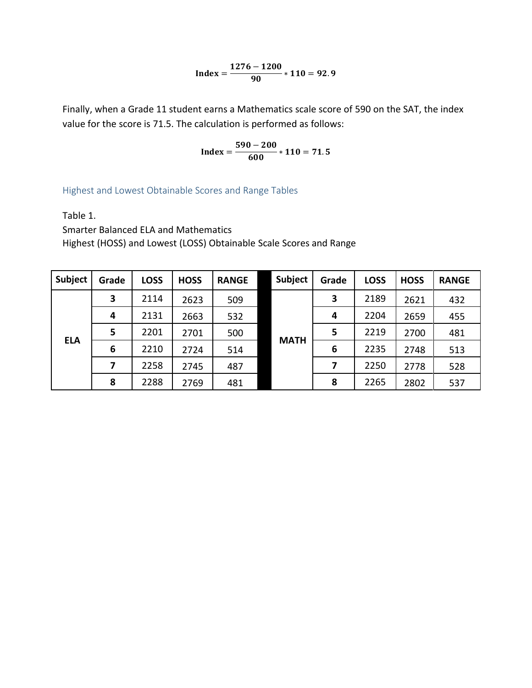$$
Index = \frac{1276 - 1200}{90} * 110 = 92.9
$$

Finally, when a Grade 11 student earns a Mathematics scale score of 590 on the SAT, the index value for the score is 71.5. The calculation is performed as follows:

$$
Index = \frac{590 - 200}{600} * 110 = 71.5
$$

Highest and Lowest Obtainable Scores and Range Tables

Table 1.

Smarter Balanced ELA and Mathematics Highest (HOSS) and Lowest (LOSS) Obtainable Scale Scores and Range

| Subject    | Grade | <b>LOSS</b> | <b>HOSS</b> | <b>RANGE</b> | Subject     | Grade | <b>LOSS</b> | <b>HOSS</b> | <b>RANGE</b> |
|------------|-------|-------------|-------------|--------------|-------------|-------|-------------|-------------|--------------|
| <b>ELA</b> | 3     | 2114        | 2623        | 509          | <b>MATH</b> | 3     | 2189        | 2621        | 432          |
|            | 4     | 2131        | 2663        | 532          |             | 4     | 2204        | 2659        | 455          |
|            | 5     | 2201        | 2701        | 500          |             | 5     | 2219        | 2700        | 481          |
|            | 6     | 2210        | 2724        | 514          |             | 6     | 2235        | 2748        | 513          |
|            | 7     | 2258        | 2745        | 487          |             | 7     | 2250        | 2778        | 528          |
|            | 8     | 2288        | 2769        | 481          |             | 8     | 2265        | 2802        | 537          |